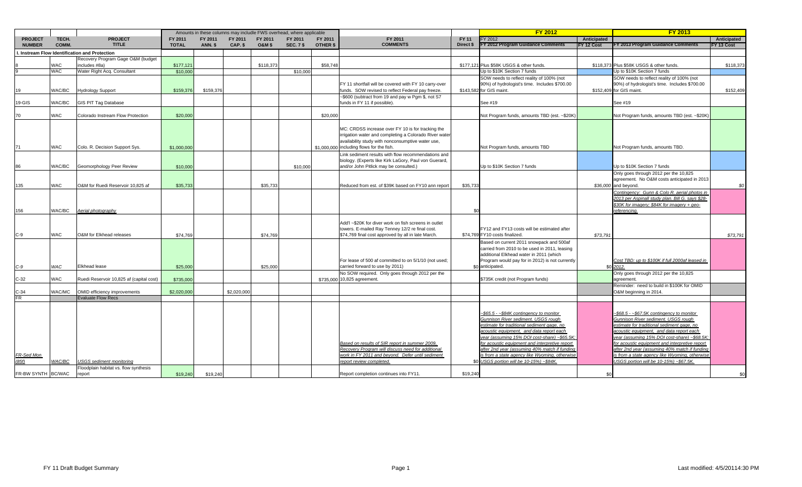|                                 |                |                                             | Amounts in these columns may includle FWS overhead, where applicable |                           |                    |                             |                             |                     |                                                                                                        | <b>FY 2012</b>            |                                                                                        | <b>FY 2013</b>            |                                                                                                  |                           |
|---------------------------------|----------------|---------------------------------------------|----------------------------------------------------------------------|---------------------------|--------------------|-----------------------------|-----------------------------|---------------------|--------------------------------------------------------------------------------------------------------|---------------------------|----------------------------------------------------------------------------------------|---------------------------|--------------------------------------------------------------------------------------------------|---------------------------|
| <b>PROJECT</b><br><b>NUMBER</b> | TECH.<br>COMM. | <b>PROJECT</b><br><b>TITLE</b>              | FY 2011<br><b>TOTAL</b>                                              | FY 2011<br><b>ANN. \$</b> | FY 2011<br>CAP. \$ | FY 2011<br><b>O&amp;M\$</b> | FY 2011<br><b>SEC. 7 \$</b> | FY 2011<br>OTHER \$ | FY 2011<br><b>COMMENTS</b>                                                                             | <b>FY 11</b><br>Direct \$ | FY 2012<br>FY 2012 Program Guidance Comments                                           | Anticipated<br>FY 12 Cost | FY 2013 Program Guidance Comments                                                                | Anticipated<br>FY 13 Cost |
|                                 |                | Instream Flow Identification and Protection |                                                                      |                           |                    |                             |                             |                     |                                                                                                        |                           |                                                                                        |                           |                                                                                                  |                           |
|                                 |                | Recovery Program Gage O&M (budget           |                                                                      |                           |                    |                             |                             |                     |                                                                                                        |                           |                                                                                        |                           |                                                                                                  |                           |
|                                 | WAC            | includes #8a)                               | \$177,121                                                            |                           |                    | \$118,373                   |                             | \$58,748            |                                                                                                        |                           | \$177,121 Plus \$58K USGS & other funds.                                               |                           | \$118,373 Plus \$58K USGS & other funds.                                                         | \$118,373                 |
|                                 | WAC            | Water Right Acq. Consultant                 | \$10,000                                                             |                           |                    |                             | \$10,000                    |                     |                                                                                                        |                           | Up to \$10K Section 7 funds                                                            |                           | Up to \$10K Section 7 funds                                                                      |                           |
|                                 |                |                                             |                                                                      |                           |                    |                             |                             |                     |                                                                                                        |                           | SOW needs to reflect reality of 100% (not                                              |                           | SOW needs to reflect reality of 100% (not                                                        |                           |
|                                 | WAC/BC         |                                             |                                                                      |                           |                    |                             |                             |                     | FY 11 shortfall will be covered with FY 10 carry-over                                                  |                           | 90%) of hydrologist's time. Includes \$700.00<br>\$143,582 for GIS maint.              |                           | 90%) of hydrologist's time. Includes \$700.00                                                    |                           |
| 19                              |                | <b>Hydrology Support</b>                    | \$159,376                                                            | \$159,376                 |                    |                             |                             |                     | funds. SOW revised to reflect Federal pay freeze.<br>~\$600 (subtract from 19 and pay w Pqm \$, not S7 |                           |                                                                                        |                           | \$152,409 for GIS maint.                                                                         | \$152,409                 |
| 19-GIS                          | WAC/BC         | <b>GIS PIT Tag Database</b>                 |                                                                      |                           |                    |                             |                             |                     | funds in FY 11 if possible).                                                                           |                           | See #19                                                                                |                           | See #19                                                                                          |                           |
|                                 |                |                                             |                                                                      |                           |                    |                             |                             |                     |                                                                                                        |                           |                                                                                        |                           |                                                                                                  |                           |
|                                 | WAC            | Colorado Instream Flow Protection           | \$20,000                                                             |                           |                    |                             |                             | \$20,000            |                                                                                                        |                           | Not Program funds, amounts TBD (est. ~\$20K)                                           |                           | Not Program funds, amounts TBD (est. ~\$20K)                                                     |                           |
|                                 |                |                                             |                                                                      |                           |                    |                             |                             |                     |                                                                                                        |                           |                                                                                        |                           |                                                                                                  |                           |
|                                 |                |                                             |                                                                      |                           |                    |                             |                             |                     | MC: CRDSS increase over FY 10 is for tracking the                                                      |                           |                                                                                        |                           |                                                                                                  |                           |
|                                 |                |                                             |                                                                      |                           |                    |                             |                             |                     | irrigation water and completing a Colorado River water                                                 |                           |                                                                                        |                           |                                                                                                  |                           |
|                                 |                |                                             |                                                                      |                           |                    |                             |                             |                     | availability study with nonconsumptive water use,                                                      |                           |                                                                                        |                           |                                                                                                  |                           |
|                                 | <b>WAC</b>     | Colo, R. Decision Support Svs.              | \$1,000,000                                                          |                           |                    |                             |                             |                     | \$1,000,000 including flows for the fish.                                                              |                           | Not Program funds, amounts TBD                                                         |                           | Not Program funds, amounts TBD                                                                   |                           |
|                                 |                |                                             |                                                                      |                           |                    |                             |                             |                     | Link sediment results with flow recommendations and                                                    |                           |                                                                                        |                           |                                                                                                  |                           |
|                                 |                |                                             |                                                                      |                           |                    |                             |                             |                     | biology. (Experts like Kirk LaGory, Paul von Guerard,                                                  |                           |                                                                                        |                           |                                                                                                  |                           |
|                                 | WAC/BC         | Geomorphology Peer Review                   | \$10,000                                                             |                           |                    |                             | \$10,000                    |                     | and/or John Pitlick may be consulted.)                                                                 |                           | Up to \$10K Section 7 funds                                                            |                           | Up to \$10K Section 7 funds                                                                      |                           |
|                                 |                |                                             |                                                                      |                           |                    |                             |                             |                     |                                                                                                        |                           |                                                                                        |                           | Only goes through 2012 per the 10,825                                                            |                           |
|                                 | WAC            | O&M for Ruedi Reservoir 10.825 af           |                                                                      |                           |                    |                             |                             |                     | Reduced from est. of \$39K based on FY10 ann report                                                    |                           |                                                                                        |                           | agreement. No O&M costs anticipated in 2013<br>\$36,000 and beyond.                              |                           |
| 135                             |                |                                             | \$35,733                                                             |                           |                    | \$35,733                    |                             |                     |                                                                                                        | \$35,733                  |                                                                                        |                           |                                                                                                  | \$0                       |
|                                 |                |                                             |                                                                      |                           |                    |                             |                             |                     |                                                                                                        |                           |                                                                                        |                           | Contingency: Gunn & Colo R. aerial photos in<br>2013 per Aspinall study plan. Bill G. says \$28- |                           |
|                                 |                |                                             |                                                                      |                           |                    |                             |                             |                     |                                                                                                        |                           |                                                                                        |                           | \$30K for imagery; \$84K for imagery + geo-                                                      |                           |
| 156                             | WAC/BC         | Aerial photography                          |                                                                      |                           |                    |                             |                             |                     |                                                                                                        |                           |                                                                                        |                           | eferencing.                                                                                      |                           |
|                                 |                |                                             |                                                                      |                           |                    |                             |                             |                     |                                                                                                        |                           |                                                                                        |                           |                                                                                                  |                           |
|                                 |                |                                             |                                                                      |                           |                    |                             |                             |                     | Add'l ~\$20K for diver work on fish screens in outlet                                                  |                           |                                                                                        |                           |                                                                                                  |                           |
|                                 |                |                                             |                                                                      |                           |                    |                             |                             |                     | towers. E-mailed Ray Tenney 12/2 re final cost.                                                        |                           | FY12 and FY13 costs will be estimated after                                            |                           |                                                                                                  |                           |
| C-9                             | WAC            | O&M for Elkhead releases                    | \$74.769                                                             |                           |                    | \$74,769                    |                             |                     | \$74,769 final cost approved by all in late March.                                                     |                           | \$74,769 FY10 costs finalized.                                                         | \$73,791                  |                                                                                                  | \$73,791                  |
|                                 |                |                                             |                                                                      |                           |                    |                             |                             |                     |                                                                                                        |                           | Based on current 2011 snowpack and 500af                                               |                           |                                                                                                  |                           |
|                                 |                |                                             |                                                                      |                           |                    |                             |                             |                     |                                                                                                        |                           | carried from 2010 to be used in 2011, leasing                                          |                           |                                                                                                  |                           |
|                                 |                |                                             |                                                                      |                           |                    |                             |                             |                     |                                                                                                        |                           | additional Elkhead water in 2011 (which                                                |                           |                                                                                                  |                           |
|                                 | <b>WAC</b>     | Elkhead lease                               | \$25,000                                                             |                           |                    | \$25,000                    |                             |                     | For lease of 500 af committed to on 5/1/10 (not used;<br>carried forward to use by 2011)               |                           | Program would pay for in 2012) is not currently<br>\$0 anticipated.                    |                           | Cost TBD: up to \$100K if full 2000af leased in<br>\$0 2012.                                     |                           |
|                                 |                |                                             |                                                                      |                           |                    |                             |                             |                     | No SOW required. Only goes through 2012 per the                                                        |                           |                                                                                        |                           | Only goes through 2012 per the 10,825                                                            |                           |
| $C-32$                          | WAC            | Ruedi Reservoir 10,825 af (capital cost)    | \$735,000                                                            |                           |                    |                             |                             |                     | \$735,000 10,825 agreement.                                                                            |                           | \$735K credit (not Program funds)                                                      |                           | agreement.                                                                                       |                           |
|                                 |                |                                             |                                                                      |                           |                    |                             |                             |                     |                                                                                                        |                           |                                                                                        |                           | eminder: need to build in \$100K for OMID                                                        |                           |
| $C-34$                          | WAC/MC         | OMID efficiency improvements                | \$2,020,000                                                          |                           | \$2.020.000        |                             |                             |                     |                                                                                                        |                           |                                                                                        |                           | 0&M beginning in 2014.                                                                           |                           |
|                                 |                | <b>Evaluate Flow Recs</b>                   |                                                                      |                           |                    |                             |                             |                     |                                                                                                        |                           |                                                                                        |                           |                                                                                                  |                           |
|                                 |                |                                             |                                                                      |                           |                    |                             |                             |                     |                                                                                                        |                           |                                                                                        |                           |                                                                                                  |                           |
|                                 |                |                                             |                                                                      |                           |                    |                             |                             |                     |                                                                                                        |                           | ~\$65.5 - ~\$84K contingency to monitor                                                |                           | ~\$68.5 - ~\$67.5K contingency to monitor                                                        |                           |
|                                 |                |                                             |                                                                      |                           |                    |                             |                             |                     |                                                                                                        |                           | Gunnison River sediment. USGS rough                                                    |                           | Gunnison River sediment. USGS rough                                                              |                           |
|                                 |                |                                             |                                                                      |                           |                    |                             |                             |                     |                                                                                                        |                           | estimate for traditional sediment gage, no                                             |                           | estimate for traditional sediment gage, no                                                       |                           |
|                                 |                |                                             |                                                                      |                           |                    |                             |                             |                     |                                                                                                        |                           | acoustic equipment, and data report each                                               |                           | acoustic equipment, and data report each                                                         |                           |
|                                 |                |                                             |                                                                      |                           |                    |                             |                             |                     |                                                                                                        |                           | year (assuming 15% DOI cost-share) ~\$65.5K.                                           |                           | year (assuming 15% DOI cost-share) ~\$68.5K;                                                     |                           |
|                                 |                |                                             |                                                                      |                           |                    |                             |                             |                     | Based on results of SIR report in summer 2009,                                                         |                           | for acoustic equipment and interpretive report                                         |                           | for acoustic equipment and interpretive report                                                   |                           |
|                                 |                |                                             |                                                                      |                           |                    |                             |                             |                     | Recovery Program will discuss need for additional                                                      |                           | after 2nd vear (assuming 40% match if funding                                          |                           | after 2nd year (assuming 40% match if funding                                                    |                           |
| FR-Sed Mon<br>85f               | <b>NAC/BC</b>  | <b>USGS</b> sediment monitoring             |                                                                      |                           |                    |                             |                             |                     | work in FY 2011 and beyond. Defer until sediment<br>eport review completed.                            |                           | is from a state agency like Wyoming, otherwise<br>USGS portion will be 10-15%) ~\$84K. |                           | is from a state agency like Wyoming, otherwise<br>JSGS portion will be 10-15%) ~\$67.5K.         |                           |
|                                 |                | Floodplain habitat vs. flow synthesis       |                                                                      |                           |                    |                             |                             |                     |                                                                                                        |                           |                                                                                        |                           |                                                                                                  |                           |
| FR-BW SYNTH BC/WAC              |                | report                                      | \$19,240                                                             | \$19,240                  |                    |                             |                             |                     | Report completion continues into FY11.                                                                 | \$19,240                  |                                                                                        | \$0                       |                                                                                                  | \$0                       |
|                                 |                |                                             |                                                                      |                           |                    |                             |                             |                     |                                                                                                        |                           |                                                                                        |                           |                                                                                                  |                           |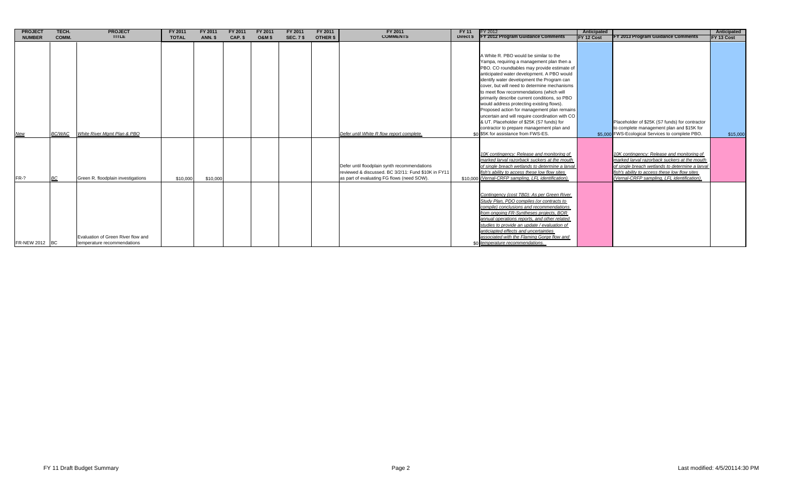| <b>PROJECT</b> | TECH.         | <b>PROJECT</b>                                                    | FY 2011      | FY 2011        | FY 2011 | FY 2011          | FY 2011          | FY 2011  | FY 2011                                                                                                                                           | FY 11     | FY 2012                                                                                                                                                                                                                                                                                                                                                                                                                                                                                                                                                                                                                                                      | Anticipated |                                                                                                                                                                                                                                               | Anticipated       |
|----------------|---------------|-------------------------------------------------------------------|--------------|----------------|---------|------------------|------------------|----------|---------------------------------------------------------------------------------------------------------------------------------------------------|-----------|--------------------------------------------------------------------------------------------------------------------------------------------------------------------------------------------------------------------------------------------------------------------------------------------------------------------------------------------------------------------------------------------------------------------------------------------------------------------------------------------------------------------------------------------------------------------------------------------------------------------------------------------------------------|-------------|-----------------------------------------------------------------------------------------------------------------------------------------------------------------------------------------------------------------------------------------------|-------------------|
| <b>NUMBER</b>  | COMM.         | <b>TITLE</b>                                                      | <b>TOTAL</b> | <b>ANN. \$</b> | CAP. \$ | <b>O&amp;M\$</b> | <b>SEC. 7 \$</b> | OTHER \$ | <b>COMMENTS</b>                                                                                                                                   | Direct \$ | FY 2012 Program Guidance Comments                                                                                                                                                                                                                                                                                                                                                                                                                                                                                                                                                                                                                            | FY 12 Cost  | FY 2013 Program Guidance Comments                                                                                                                                                                                                             | <b>FY 13 Cost</b> |
| <b>New</b>     | <b>BC/WAC</b> | White River Mamt Plan & PBO                                       |              |                |         |                  |                  |          | Defer until White R flow report complete.                                                                                                         |           | A White R. PBO would be similar to the<br>Yampa, requiring a management plan then a<br>PBO. CO roundtables may provide estimate of<br>anticipated water development. A PBO would<br>identify water development the Program can<br>cover, but will need to determine mechanisms<br>to meet flow recommendations (which will<br>primarily describe current conditions, so PBO<br>would address protecting existing flows).<br>Proposed action for management plan remains<br>uncertain and will require coordination with CO<br>& UT. Placeholder of \$25K (S7 funds) for<br>contractor to prepare management plan and<br>\$0 \$5K for assistance from FWS-ES. |             | Placeholder of \$25K (S7 funds) for contractor<br>to complete management plan and \$15K for<br>\$5,000 FWS-Ecological Services to complete PBO.                                                                                               | \$15,000          |
| FR-?           | <b>BC</b>     | Green R. floodplain investigations                                | \$10,000     | \$10,000       |         |                  |                  |          | Defer until floodplain synth recommendations<br>reviewed & discussed. BC 3/2/11: Fund \$10K in FY11<br>as part of evaluating FG flows (need SOW). |           | 10K contingency: Release and monitoring of<br>marked larval razorback suckers at the mouth<br>of single breach wetlands to determine a larval<br>fish's ability to access these low flow sites<br>\$10,000 (Vernal-CRFP sampling, LFL identification)                                                                                                                                                                                                                                                                                                                                                                                                        |             | 10K contingency: Release and monitoring of<br>marked larval razorback suckers at the mouth<br>of single breach wetlands to determine a larval<br>fish's ability to access these low flow sites<br>(Vernal-CRFP sampling, LFL identification). |                   |
| FR-NEW 2012 BC |               | Evaluation of Green River flow and<br>temperature recommendations |              |                |         |                  |                  |          |                                                                                                                                                   |           | Contingency (cost TBD): As per Green River<br>Study Plan, PDO compiles (or contracts to<br>compile) conclusions and recommendations<br>from ongoing FR-Syntheses projects, BOR<br>annual operations reports, and other related<br>studies to provide an update / evaluation of<br>anticiapted effects and uncertainties<br>associated with the Flaming Gorge flow and<br>\$0 temperature recommendations.                                                                                                                                                                                                                                                    |             |                                                                                                                                                                                                                                               |                   |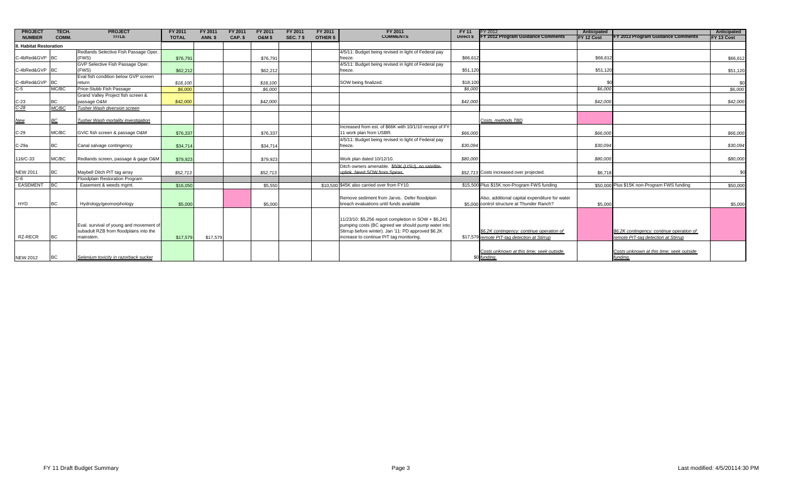| <b>PROJECT</b>      | TECH.       | <b>PROJECT</b>                                                                    | FY 2011      | FY 2011  | FY 2011 | FY 2011           | FY 2011          | FY 2011  | FY 2011                                                                                                   | FY 11     | FY 2012                                                                                   | Anticipated |                                                                                  | Anticipated |
|---------------------|-------------|-----------------------------------------------------------------------------------|--------------|----------|---------|-------------------|------------------|----------|-----------------------------------------------------------------------------------------------------------|-----------|-------------------------------------------------------------------------------------------|-------------|----------------------------------------------------------------------------------|-------------|
| <b>NUMBER</b>       | COMM.       | <b>TITLE</b>                                                                      | <b>TOTAL</b> | ANN. \$  | CAP. \$ | <b>O&amp;M \$</b> | <b>SEC. 7 \$</b> | OTHER \$ | <b>COMMENTS</b>                                                                                           | Direct \$ | FY 2012 Program Guidance Comments                                                         | FY 12 Cost  | FY 2013 Program Guidance Comments                                                | FY 13 Cost  |
| Habitat Restoration |             |                                                                                   |              |          |         |                   |                  |          |                                                                                                           |           |                                                                                           |             |                                                                                  |             |
|                     |             | Redlands Selective Fish Passage Oper.                                             |              |          |         |                   |                  |          | 4/5/11: Budget being revised in light of Federal pay                                                      |           |                                                                                           |             |                                                                                  |             |
| C-4bRed&GVP BC      |             | (FWS)                                                                             | \$76,791     |          |         | \$76,791          |                  |          | freeze                                                                                                    | \$66,61   |                                                                                           | \$66,612    |                                                                                  | \$66,612    |
|                     |             | GVP Selective Fish Passage Oper.                                                  |              |          |         |                   |                  |          | 4/5/11: Budget being revised in light of Federal pay                                                      |           |                                                                                           |             |                                                                                  |             |
| C-4bRed&GVP BC      |             | (FWS)                                                                             | \$62,212     |          |         | \$62,212          |                  |          | freeze                                                                                                    | \$51,12   |                                                                                           | \$51,120    |                                                                                  | \$51,120    |
|                     |             | Eval fish condition below GVP screen                                              |              |          |         |                   |                  |          |                                                                                                           |           |                                                                                           |             |                                                                                  |             |
| C-4bRed&GVP BC      |             | return                                                                            | \$18,100     |          |         | \$18.100          |                  |          | SOW being finalized                                                                                       | \$18,100  |                                                                                           |             |                                                                                  | \$0         |
| $C-5$               | MC/BC       | Price-Stubb Fish Passage                                                          | \$6,000      |          |         | \$6,000           |                  |          |                                                                                                           | \$6,000   |                                                                                           | \$6,000     |                                                                                  | \$6,000     |
|                     |             | Grand Valley Project fish screen &                                                |              |          |         |                   |                  |          |                                                                                                           |           |                                                                                           |             |                                                                                  |             |
| $C-23$              | ВC<br>MC/BC | passage O&M                                                                       | \$42,000     |          |         | \$42,000          |                  |          |                                                                                                           | \$42,000  |                                                                                           | \$42,000    |                                                                                  | \$42,000    |
| $C-28$              |             | Tusher Wash diversion screen                                                      |              |          |         |                   |                  |          |                                                                                                           |           |                                                                                           |             |                                                                                  |             |
|                     | ВC          | Tusher Wash mortality investigation                                               |              |          |         |                   |                  |          |                                                                                                           |           | Costs, methods TBD                                                                        |             |                                                                                  |             |
| <b>New</b>          |             |                                                                                   |              |          |         |                   |                  |          | Increased from est. of \$66K with 10/1/10 receipt of FY                                                   |           |                                                                                           |             |                                                                                  |             |
| $C-29$              | MC/BC       | GVIC fish screen & passage O&M                                                    | \$76,337     |          |         | \$76,337          |                  |          | 11 work plan from USBR.                                                                                   | \$66,000  |                                                                                           | \$66,000    |                                                                                  | \$66,000    |
|                     |             |                                                                                   |              |          |         |                   |                  |          | 4/5/11: Budget being revised in light of Federal pay                                                      |           |                                                                                           |             |                                                                                  |             |
| $C-29a$             | BC          | Canal salvage contingency                                                         | \$34,714     |          |         | \$34,714          |                  |          | freeze.                                                                                                   | \$30,094  |                                                                                           | \$30.094    |                                                                                  | \$30,094    |
|                     |             |                                                                                   |              |          |         |                   |                  |          |                                                                                                           |           |                                                                                           |             |                                                                                  |             |
| 116/C-33            | MC/BC       | Redlands screen, passage & gage O&M                                               | \$79,923     |          |         | \$79,923          |                  |          | Work plan dated 10/12/10.                                                                                 | \$80,000  |                                                                                           | \$80,000    |                                                                                  | \$80,000    |
|                     |             |                                                                                   |              |          |         |                   |                  |          |                                                                                                           |           |                                                                                           |             |                                                                                  |             |
| <b>NEW 2011</b>     | BC          | Maybell Ditch PIT tag array                                                       | \$52.713     |          |         | \$52,713          |                  |          | Ditch owners amenable. \$50K (USU), no satellite-<br>uplink. Need SOW from Speas.                         |           | \$52,713 Costs increased over projected                                                   | \$6,718     |                                                                                  | \$C         |
| $C-6$               |             | Floodplain Restoration Program                                                    |              |          |         |                   |                  |          |                                                                                                           |           |                                                                                           |             |                                                                                  |             |
| EASEMENT BC         |             | Easement & weeds mgmt.                                                            | \$16,050     |          |         | \$5,550           |                  |          | \$10,500 \$45K also carried over from FY10.                                                               |           | \$15,500 Plus \$15K non-Program FWS funding                                               |             | \$50,000 Plus \$15K non-Program FWS funding                                      | \$50,000    |
|                     |             |                                                                                   |              |          |         |                   |                  |          |                                                                                                           |           |                                                                                           |             |                                                                                  |             |
|                     |             |                                                                                   |              |          |         |                   |                  |          | Remove sediment from Jarvis. Defer floodplain                                                             |           | Also, additional capital expenditure for water                                            |             |                                                                                  |             |
| <b>HYD</b>          | <b>BC</b>   | Hydrology/geomorphology                                                           | \$5,000      |          |         | \$5,000           |                  |          | breach evaluations until funds available                                                                  |           | \$5,000 control structure at Thunder Ranch?                                               | \$5,000     |                                                                                  | \$5,000     |
|                     |             |                                                                                   |              |          |         |                   |                  |          |                                                                                                           |           |                                                                                           |             |                                                                                  |             |
|                     |             |                                                                                   |              |          |         |                   |                  |          |                                                                                                           |           |                                                                                           |             |                                                                                  |             |
|                     |             |                                                                                   |              |          |         |                   |                  |          | 11/23/10: \$5,256 report completion in SOW + \$6,241                                                      |           |                                                                                           |             |                                                                                  |             |
|                     |             | Eval. survival of young and movement of<br>subadult RZB from floodplains into the |              |          |         |                   |                  |          | pumping costs (BC agreed we should pump water into<br>Stirrup before winter). Jan '11: PD approved \$6.2K |           |                                                                                           |             |                                                                                  |             |
| RZ-RECR             | <b>BC</b>   | mainstem.                                                                         | \$17,579     | \$17,579 |         |                   |                  |          | increase to continue PIT tag monitoring.                                                                  |           | \$6.2K contingency: continue operation of<br>\$17,579 remote PIT-tag detection at Stirrup |             | \$6.2K contingency: continue operation of<br>remote PIT-tag detection at Stirrup |             |
|                     |             |                                                                                   |              |          |         |                   |                  |          |                                                                                                           |           |                                                                                           |             |                                                                                  |             |
|                     |             |                                                                                   |              |          |         |                   |                  |          |                                                                                                           |           |                                                                                           |             |                                                                                  |             |
|                     |             |                                                                                   |              |          |         |                   |                  |          |                                                                                                           |           | Costs unknown at this time: seek outside                                                  |             | Costs unknown at this time: seek outside                                         |             |
| <b>NEW 2012</b>     | BC          | Selenium toxicity in razorback sucker                                             |              |          |         |                   |                  |          |                                                                                                           |           | \$0 funding.                                                                              |             | funding.                                                                         |             |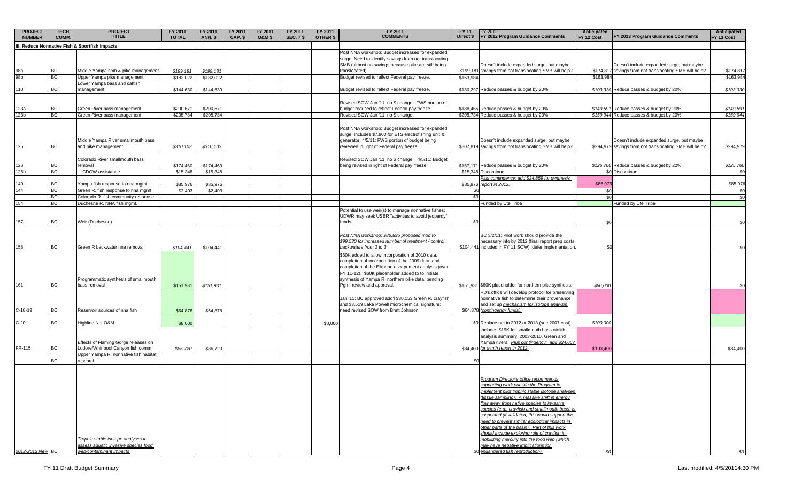| <b>PROJECT</b>   | TECH. | <b>PROJECT</b>                                                                                                      | FY 2011      | FY 2011        | FY 2011 | FY 2011           | FY 2011          | FY 2011  | FY 2011                                                                                                                                                                                                                                                                                             | FY 11     | FY 2012                                                                                                                                                                                                                                                                                                                                                                                                                                                                                                                                                                                                         | Anticipated |                                                         | Anticipated |
|------------------|-------|---------------------------------------------------------------------------------------------------------------------|--------------|----------------|---------|-------------------|------------------|----------|-----------------------------------------------------------------------------------------------------------------------------------------------------------------------------------------------------------------------------------------------------------------------------------------------------|-----------|-----------------------------------------------------------------------------------------------------------------------------------------------------------------------------------------------------------------------------------------------------------------------------------------------------------------------------------------------------------------------------------------------------------------------------------------------------------------------------------------------------------------------------------------------------------------------------------------------------------------|-------------|---------------------------------------------------------|-------------|
| <b>NUMBER</b>    | COMM. | <b>TITLE</b>                                                                                                        | <b>TOTAL</b> | <b>ANN. \$</b> | CAP. \$ | <b>O&amp;M \$</b> | <b>SEC. 7 \$</b> | OTHER \$ | <b>COMMENTS</b>                                                                                                                                                                                                                                                                                     | Direct \$ | FY 2012 Program Guidance Comments                                                                                                                                                                                                                                                                                                                                                                                                                                                                                                                                                                               | FY 12 Cost  | Y 2013 Program Guidance Comments                        | FY 13 Cost  |
|                  |       | I. Reduce Nonnative Fish & Sportfish Impacts                                                                        |              |                |         |                   |                  |          |                                                                                                                                                                                                                                                                                                     |           |                                                                                                                                                                                                                                                                                                                                                                                                                                                                                                                                                                                                                 |             |                                                         |             |
|                  |       |                                                                                                                     |              |                |         |                   |                  |          | Post NNA workshop: Budget increased for expanded<br>surge. Need to identify savings from not translocating<br>SMB (almost no savings because pike are still being                                                                                                                                   |           | Doesn't include expanded surge, but maybe                                                                                                                                                                                                                                                                                                                                                                                                                                                                                                                                                                       |             | Doesn't include expanded surge, but maybe               |             |
| 98a              | BС    | Middle Yampa smb & pike management                                                                                  | \$199,181    | \$199,181      |         |                   |                  |          | translocated).                                                                                                                                                                                                                                                                                      |           | \$199,181 savings from not translocating SMB will help?                                                                                                                                                                                                                                                                                                                                                                                                                                                                                                                                                         |             | \$174,817 savings from not translocating SMB will help? | \$174,817   |
| 98b              | ВC    | Upper Yampa pike management                                                                                         | \$182,022    | \$182,022      |         |                   |                  |          | Budget revised to reflect Federal pay freeze.                                                                                                                                                                                                                                                       | \$163,984 |                                                                                                                                                                                                                                                                                                                                                                                                                                                                                                                                                                                                                 | \$163,984   |                                                         | \$163,984   |
| 110              | ВC    | Lower Yampa bass and catfish<br>management                                                                          | \$144,630    | \$144,630      |         |                   |                  |          | Budget revised to reflect Federal pay freeze.                                                                                                                                                                                                                                                       |           | \$130,297 Reduce passes & budget by 20%                                                                                                                                                                                                                                                                                                                                                                                                                                                                                                                                                                         |             | \$103,330 Reduce passes & budget by 20%                 | \$103,330   |
|                  |       |                                                                                                                     |              |                |         |                   |                  |          | Revised SOW Jan '11, no \$ change. FWS portion of                                                                                                                                                                                                                                                   |           |                                                                                                                                                                                                                                                                                                                                                                                                                                                                                                                                                                                                                 |             |                                                         |             |
| 123a             | ВC    | Green River bass management                                                                                         | \$200,67     | \$200,67       |         |                   |                  |          | budget reduced to reflect Federal pay freeze.                                                                                                                                                                                                                                                       |           | \$188,465 Reduce passes & budget by 20%                                                                                                                                                                                                                                                                                                                                                                                                                                                                                                                                                                         |             | \$149,591 Reduce passes & budget by 20%                 | \$149,591   |
| 123b             | ВC    | Green River bass management                                                                                         | \$205,734    | \$205,734      |         |                   |                  |          | Revised SOW Jan '11, no \$ change.                                                                                                                                                                                                                                                                  |           | \$205,734 Reduce passes & budget by 20%                                                                                                                                                                                                                                                                                                                                                                                                                                                                                                                                                                         |             | \$159,944 Reduce passes & budget by 20%                 | \$159,944   |
|                  |       | Middle Yampa River smallmouth bass                                                                                  |              |                |         |                   |                  |          | Post NNA workshop: Budget increased for expanded<br>surge. Includes \$7,800 for ETS electrofishing unit &<br>generator. 4/5/11: FWS portion of budget being                                                                                                                                         |           | Doesn't include expanded surge, but maybe                                                                                                                                                                                                                                                                                                                                                                                                                                                                                                                                                                       |             | Doesn't include expanded surge, but maybe               |             |
| 125              | ВC    | and pike management.                                                                                                | \$310,103    | \$310,103      |         |                   |                  |          | reviewed in light of Federal pay freeze.                                                                                                                                                                                                                                                            |           | \$307,819 savings from not translocating SMB will help?                                                                                                                                                                                                                                                                                                                                                                                                                                                                                                                                                         |             | \$294,979 savings from not translocating SMB will help? | \$294,979   |
| 126              | BС    | Colorado River smallmouth bass<br>removal                                                                           | \$174,460    | \$174,460      |         |                   |                  |          | Revised SOW Jan '11, no \$ change. 4/5/11: Budget<br>being revised in light of Federal pay freeze.                                                                                                                                                                                                  |           | \$157,171 Reduce passes & budget by 20%                                                                                                                                                                                                                                                                                                                                                                                                                                                                                                                                                                         |             | \$125,760 Reduce passes & budget by 20%                 | \$125,760   |
| 126 <sub>b</sub> | BC    | CDOW assistance                                                                                                     | \$15,348     | \$15,348       |         |                   |                  |          |                                                                                                                                                                                                                                                                                                     |           | \$15,348 Discontinue                                                                                                                                                                                                                                                                                                                                                                                                                                                                                                                                                                                            | SO.         | Discontinue                                             | \$0         |
| 140              | ВC    | Yampa fish response to nna mgmt                                                                                     | \$85,976     | \$85,976       |         |                   |                  |          |                                                                                                                                                                                                                                                                                                     | \$85,976  | Plus contingency: add \$24,859 for synthesis<br>report in 2012.                                                                                                                                                                                                                                                                                                                                                                                                                                                                                                                                                 | \$85,97     |                                                         | \$85,976    |
| 144              | BC    | Green R. fish response to nna mgmt                                                                                  | \$2,403      | \$2,403        |         |                   |                  |          |                                                                                                                                                                                                                                                                                                     | -50       |                                                                                                                                                                                                                                                                                                                                                                                                                                                                                                                                                                                                                 | \$0         |                                                         | \$0         |
|                  | BC    | Colorado R. fish community response                                                                                 |              |                |         |                   |                  |          |                                                                                                                                                                                                                                                                                                     | .SC       |                                                                                                                                                                                                                                                                                                                                                                                                                                                                                                                                                                                                                 | \$0         |                                                         | \$0         |
| 154              | ВC    | Duchesne R. NNA fish mgmt.                                                                                          |              |                |         |                   |                  |          |                                                                                                                                                                                                                                                                                                     |           | unded by Ute Tribe                                                                                                                                                                                                                                                                                                                                                                                                                                                                                                                                                                                              |             | Funded by Ute Tribe                                     |             |
| 157              | ВC    | Weir (Duchesne)                                                                                                     |              |                |         |                   |                  |          | Potential to use weir(s) to manage nonnative fishes;<br>UDWR may seek USBR "activities to avoid jeopardy"<br>funds.                                                                                                                                                                                 | SO.       |                                                                                                                                                                                                                                                                                                                                                                                                                                                                                                                                                                                                                 |             |                                                         | \$0         |
| 158              | ВC    | Green R backwater nna removal                                                                                       | \$104,441    | \$104,441      |         |                   |                  |          | Post NNA workshop: \$86,895 proposed mod to<br>\$99,530 for increased number of treatment / control<br>backwaters from 2 to 3.                                                                                                                                                                      |           | BC 3/2/11: Pilot work should provide the<br>necessary info by 2012 (final report prep costs<br>\$104,441 included in FY 11 SOW); defer implementation                                                                                                                                                                                                                                                                                                                                                                                                                                                           |             |                                                         |             |
| 161              | ВC    | Programmatic synthesis of smallmouth<br>bass removal                                                                | \$151,931    | \$151,931      |         |                   |                  |          | \$60K added to allow incorporation of 2010 data,<br>completion of incorporation of the 2009 data, and<br>completion of the Elkhead escapement analysis (over<br>FY 11-12). \$60K placeholder added to to initiate<br>synthesis of Yampa R. northern pike data; pending<br>Pgm. review and approval. |           | \$151,931 \$60K placeholder for northern pike synthesis.                                                                                                                                                                                                                                                                                                                                                                                                                                                                                                                                                        | \$60,000    |                                                         |             |
| C-18-19          | ВC    | Reservoir sources of nna fish                                                                                       | \$64,878     | \$64,878       |         |                   |                  |          | Jan '11: BC approved add'l \$30,153 Green R. crayfish<br>and \$3,519 Lake Powell microchemical signature;<br>need revised SOW from Brett Johnson.                                                                                                                                                   |           | PD's office will develop protocol for preserving<br>nonnative fish to determine their provenance<br>and set up mechanism for isotope analysis<br>\$64,878 (contingency funds).                                                                                                                                                                                                                                                                                                                                                                                                                                  |             |                                                         |             |
| $C-20$           | ВC    | Highline Net O&M                                                                                                    | \$8,000      |                |         |                   |                  | \$8,000  |                                                                                                                                                                                                                                                                                                     |           | \$0 Replace net in 2012 or 2013 (see 2007 cost)                                                                                                                                                                                                                                                                                                                                                                                                                                                                                                                                                                 | \$100,000   |                                                         |             |
| FR-115           | ВC    | Effects of Flaming Gorge releases on<br>Lodore/Whirlpool Canyon fish comm.<br>Upper Yampa R. nonnative fish habitat | \$86,720     | \$86,720       |         |                   |                  |          |                                                                                                                                                                                                                                                                                                     |           | Includes \$19K for smallmouth bass otolith<br>analysis summary, 2003-2010, Green and<br>Yampa rivers. Plus contingency: add \$34,667<br>\$84,400 for synth report in 2012.                                                                                                                                                                                                                                                                                                                                                                                                                                      | \$103,400   |                                                         | \$84,400    |
|                  | ВC    | research                                                                                                            |              |                |         |                   |                  |          |                                                                                                                                                                                                                                                                                                     |           |                                                                                                                                                                                                                                                                                                                                                                                                                                                                                                                                                                                                                 |             |                                                         |             |
| 2012-2013 New BC |       | Trophic stable isotope analyses to<br>assess aquatic invasive species food<br>web/contaminant impacts               |              |                |         |                   |                  |          |                                                                                                                                                                                                                                                                                                     |           | Program Director's office recommends<br>upporting work outside the Program to<br>implement pilot trophic stable isotope analyses<br>(tissue sampling). A massive shift in energy<br>flow away from native species to invasive<br>species (e.g., crayfish and smallmouth bass) is<br>suspected (if validated, this would support the<br>need to prevent similar ecological impacts in<br>other parts of the basin). Part of this work<br>should include exploring role of crayfish in<br>mobilizing mercury into the food web (which<br>may have negative implications for<br>\$0 endangered fish reproduction). |             |                                                         | \$0         |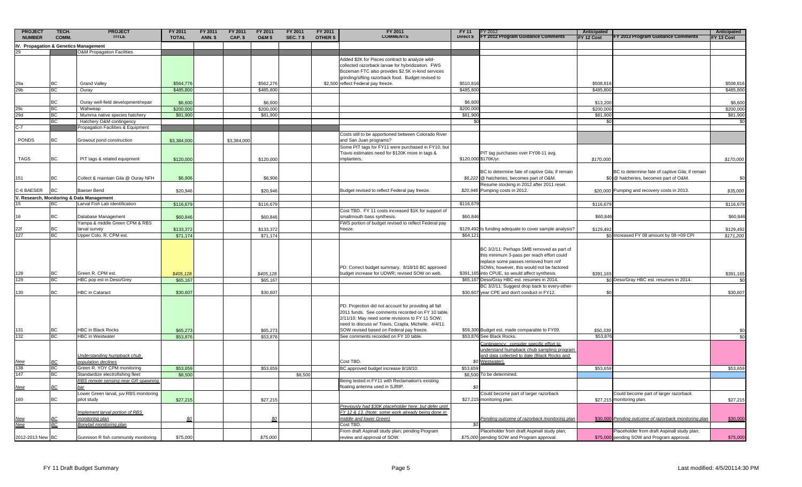| <b>PROJECT</b>                        | TECH.     | <b>PROJECT</b>                                                  | FY 2011      | FY 2011        | FY 2011     | FY 2011          | FY 2011          | FY 2011  | FY 2011                                                                                                | <b>FY 11</b> | Y 2012 <sup>-</sup>                                                                       | Anticipated |                                                                                           | Anticipated     |
|---------------------------------------|-----------|-----------------------------------------------------------------|--------------|----------------|-------------|------------------|------------------|----------|--------------------------------------------------------------------------------------------------------|--------------|-------------------------------------------------------------------------------------------|-------------|-------------------------------------------------------------------------------------------|-----------------|
| <b>NUMBER</b>                         | COMM.     | <b>TITLE</b>                                                    | <b>TOTAL</b> | <b>ANN. \$</b> | CAP. \$     | <b>O&amp;M\$</b> | <b>SEC. 7 \$</b> | OTHER \$ | <b>COMMENTS</b>                                                                                        | Direct \$    | FY 2012 Program Guidance Comments                                                         | FY 12 Cost  | FY 2013 Program Guidance Comments                                                         | FY 13 Cost      |
| IV. Propagation & Genetics Management |           |                                                                 |              |                |             |                  |                  |          |                                                                                                        |              |                                                                                           |             |                                                                                           |                 |
|                                       |           | <b>O&amp;M Propagation Facilities</b>                           |              |                |             |                  |                  |          |                                                                                                        |              |                                                                                           |             |                                                                                           |                 |
|                                       |           |                                                                 |              |                |             |                  |                  |          | Added \$2K for Pisces contract to analyze wild-<br>collected razorback larvae for hybridization. FWS   |              |                                                                                           |             |                                                                                           |                 |
|                                       |           |                                                                 |              |                |             |                  |                  |          | Bozeman FTC also provides \$2.5K in-kind services                                                      |              |                                                                                           |             |                                                                                           |                 |
|                                       |           |                                                                 |              |                |             |                  |                  |          | grinding/sifting razorback food. Budget revised to                                                     |              |                                                                                           |             |                                                                                           |                 |
| 29a                                   |           | <b>Grand Valley</b>                                             | \$564,776    |                |             | \$562,276        |                  |          | \$2,500 reflect Federal pay freeze.                                                                    | \$510,81     |                                                                                           | \$508,81    |                                                                                           | \$508,816       |
| 29 <sub>b</sub>                       | BC        | Ouray                                                           | \$485,800    |                |             | \$485,800        |                  |          |                                                                                                        | \$485,80     |                                                                                           | \$485,800   |                                                                                           | \$485,800       |
|                                       | BC        | Ouray well-field development/repair                             | \$6,600      |                |             | \$6,600          |                  |          |                                                                                                        | \$6,60       |                                                                                           | \$13,200    |                                                                                           | \$6,600         |
|                                       | BC        | Wahweap                                                         | \$200,000    |                |             | \$200,000        |                  |          |                                                                                                        | \$200,00     |                                                                                           | \$200,00    |                                                                                           | \$200,000       |
| 29c<br>29d                            | BC        | Mumma native species hatchery                                   | \$81,900     |                |             | \$81,900         |                  |          |                                                                                                        | \$81,90      |                                                                                           | \$81,900    |                                                                                           | \$81,900        |
|                                       | BC        | Hatchery O&M contingency                                        |              |                |             |                  |                  |          |                                                                                                        |              |                                                                                           | \$0         |                                                                                           | \$ <sub>6</sub> |
| $C-7$                                 |           | Propagation Facilities & Equipment                              |              |                |             |                  |                  |          |                                                                                                        |              |                                                                                           |             |                                                                                           |                 |
|                                       |           |                                                                 |              |                |             |                  |                  |          | Costs still to be apportioned between Colorado River                                                   |              |                                                                                           |             |                                                                                           |                 |
| PONDS                                 | ВC        | Growout pond construction                                       | \$3,384,000  |                | \$3,384,000 |                  |                  |          | and San Juan programs?                                                                                 |              |                                                                                           |             |                                                                                           |                 |
|                                       |           |                                                                 |              |                |             |                  |                  |          | Some PIT tags for FY11 were purchased in FY10, but<br>Travis estimates need for \$120K more in tags &  |              | PIT tag purchases over FY08-11 avg.                                                       |             |                                                                                           |                 |
| <b>TAGS</b>                           | <b>BC</b> | PIT tags & related equipment                                    | \$120,000    |                |             | \$120,000        |                  |          | implanters.                                                                                            |              | \$120,000 \$170K/yr.                                                                      | \$170,000   |                                                                                           | \$170,000       |
|                                       |           |                                                                 |              |                |             |                  |                  |          |                                                                                                        |              |                                                                                           |             |                                                                                           |                 |
|                                       |           |                                                                 |              |                |             |                  |                  |          |                                                                                                        |              | BC to determine fate of captive Gila; if remain                                           |             | BC to determine fate of captive Gila; if remain                                           |                 |
| 151                                   | ВC        | Collect & maintain Gila @ Ouray NFH                             | \$6,906      |                |             | \$6,906          |                  |          |                                                                                                        |              | \$6,222 @ hatcheries, becomes part of O&M.                                                |             | \$0 @ hatcheries, becomes part of O&M.                                                    | \$0             |
|                                       |           |                                                                 |              |                |             |                  |                  |          |                                                                                                        |              | Resume stocking in 2012 after 2011 reset.                                                 |             |                                                                                           |                 |
| C-6 BAESER                            | <b>BC</b> | Baeser Bend                                                     | \$20,946     |                |             | \$20,946         |                  |          | Budget revised to reflect Federal pay freeze.                                                          |              | \$20,946 Pumping costs in 2012.                                                           |             | \$20,000 Pumping and recovery costs in 2013.                                              | \$35,000        |
|                                       |           | V. Research, Monitoring & Data Management                       |              |                |             |                  |                  |          |                                                                                                        |              |                                                                                           |             |                                                                                           |                 |
| 15                                    | BC        | Larval Fish Lab Identification                                  | \$116,679    |                |             | \$116,679        |                  |          | Cost TBD. FY 11 costs increased \$1K for support of                                                    | \$116,67     |                                                                                           | \$116,679   |                                                                                           | \$116,679       |
| 16                                    | ВC        | Database Management                                             | \$60,846     |                |             | \$60,846         |                  |          | smallmouth bass synthesis.                                                                             | \$60,846     |                                                                                           | \$60,846    |                                                                                           | \$60,846        |
|                                       |           | Yampa & middle Green CPM & RBS                                  |              |                |             |                  |                  |          | FWS portion of budget revised to reflect Federal pay                                                   |              |                                                                                           |             |                                                                                           |                 |
| 22f                                   | <b>BC</b> | larval survey                                                   | \$133,372    |                |             | \$133,372        |                  |          | freeze.                                                                                                |              | \$129,492 Is funding adequate to cover sample analysis?                                   | \$129,492   |                                                                                           | \$129,492       |
| 127                                   | ВC        | Upper Colo. R. CPM est.                                         | \$71,174     |                |             | \$71,174         |                  |          |                                                                                                        | \$64,12      |                                                                                           |             | \$0 Increased FY 08 amount by 08->09 CPI                                                  | \$171,200       |
|                                       |           |                                                                 |              |                |             |                  |                  |          |                                                                                                        |              |                                                                                           |             |                                                                                           |                 |
|                                       |           |                                                                 |              |                |             |                  |                  |          |                                                                                                        |              | BC 3/2/11: Perhaps SMB removed as part of                                                 |             |                                                                                           |                 |
|                                       |           |                                                                 |              |                |             |                  |                  |          |                                                                                                        |              | this minimum 3-pass per reach effort could                                                |             |                                                                                           |                 |
|                                       |           |                                                                 |              |                |             |                  |                  |          | PD: Correct budget summary. 8/18/10 BC approved                                                        |              | replace some passes removed from nnf<br>SOWs; however, this would not be factored         |             |                                                                                           |                 |
| 128                                   | BC        | Green R. CPM est.                                               | \$405,128    |                |             | \$405,128        |                  |          | budget increase for UDWR; revised SOW on web.                                                          |              | \$391,165 into CPUE, so would affect synthesis                                            | \$391,165   |                                                                                           | \$391,165       |
| 129                                   | ВC        | HBC pop est in Deso/Grey                                        | \$65,167     |                |             | \$65,167         |                  |          |                                                                                                        |              | \$65,167 Deso/Gray HBC est. resumes in 2014.                                              |             | \$0 Deso/Gray HBC est. resumes in 2014.                                                   |                 |
|                                       |           |                                                                 |              |                |             |                  |                  |          |                                                                                                        |              | BC 3/2/11: Suggest drop back to every-other-                                              |             |                                                                                           |                 |
| 130                                   | BC        | HBC in Cataract                                                 | \$30,607     |                |             | \$30,607         |                  |          |                                                                                                        |              | \$30,607 year CPE and don't conduct in FY12.                                              | \$C         |                                                                                           | \$30,607        |
|                                       |           |                                                                 |              |                |             |                  |                  |          |                                                                                                        |              |                                                                                           |             |                                                                                           |                 |
|                                       |           |                                                                 |              |                |             |                  |                  |          | PD: Projection did not account for providing all fall                                                  |              |                                                                                           |             |                                                                                           |                 |
|                                       |           |                                                                 |              |                |             |                  |                  |          | 2011 funds. See comments recorded on FY 10 table.                                                      |              |                                                                                           |             |                                                                                           |                 |
|                                       |           |                                                                 |              |                |             |                  |                  |          | 2/11/10: May need some revisions to FY 11 SOW;<br>need to discuss w/ Travis, Czapla, Michelle. 4/4/11: |              |                                                                                           |             |                                                                                           |                 |
| 131                                   | BC        | HBC in Black Rocks                                              | \$65,273     |                |             | \$65,273         |                  |          | SOW revised based on Federal pay freeze.                                                               |              | \$59,300 Budget est. made comparable to FY09.                                             | \$50,339    |                                                                                           | \$0             |
| 132                                   | <b>BC</b> | <b>HBC</b> in Westwater                                         | \$53,876     |                |             | \$53,876         |                  |          | See comments recorded on FY 10 table.                                                                  |              | \$53,876 See Black Rocks.                                                                 | \$53,87     |                                                                                           | \$C             |
|                                       |           |                                                                 |              |                |             |                  |                  |          |                                                                                                        |              | Contingency: consider specific effort to                                                  |             |                                                                                           |                 |
|                                       |           |                                                                 |              |                |             |                  |                  |          |                                                                                                        |              | understand humpback chub sampling program                                                 |             |                                                                                           |                 |
|                                       |           | Understanding humpback chub                                     |              |                |             |                  |                  |          |                                                                                                        |              | and data collected to date (Black Rocks and                                               |             |                                                                                           |                 |
| <u>New</u><br>138                     |           | population declines                                             |              |                |             |                  |                  |          | Cost TBD.                                                                                              |              | \$0 Westwater).                                                                           |             |                                                                                           |                 |
| 147                                   | BC<br>ВC  | Green R. YOY CPM monitoring<br>Standardize electrofishing fleet | \$53,659     |                |             | \$53,659         |                  |          | BC approved budget increase 8/18/10.                                                                   | \$53,65      | To be determined.                                                                         | \$53,659    |                                                                                           | \$53,659        |
|                                       |           | RBS remote sensing near GR spawning                             | \$8,500      |                |             |                  | \$8,500          |          | Being tested in FY11 with Reclamation's existing                                                       | \$8,500      |                                                                                           |             |                                                                                           |                 |
| <u>New</u>                            | ВC        |                                                                 |              |                |             |                  |                  |          | floating antenna used in SJRIP.                                                                        |              |                                                                                           |             |                                                                                           |                 |
|                                       |           | Lower Green larval, juv RBS monitoring                          |              |                |             |                  |                  |          |                                                                                                        |              | Could become part of larger razorback                                                     |             | Could become part of larger razorback                                                     |                 |
| 160                                   | BC        | pilot study                                                     | \$27,215     |                |             | \$27,215         |                  |          |                                                                                                        |              | \$27,215 monitoring plan.                                                                 |             | \$27,215 monitoring plan.                                                                 | \$27,215        |
|                                       |           |                                                                 |              |                |             |                  |                  |          | Previously had \$30K placeholder here, but defer until                                                 |              |                                                                                           |             |                                                                                           |                 |
|                                       |           | Implement larval portion of RBS                                 |              |                |             |                  |                  |          | FY 12 & 13. (Note: some work already being done in                                                     |              |                                                                                           |             |                                                                                           |                 |
| <u>New</u>                            |           | monitoring plan                                                 |              |                |             |                  |                  |          | middle and lower Green)                                                                                |              | Pending outcome of razorback monitoring plan                                              |             | \$30,000 Pending outcome of razorback monitoring plan                                     | \$30,000        |
| New                                   | <b>BC</b> | <b>Bonytail monitoring plan</b>                                 |              |                |             |                  |                  |          | Cost TBD.                                                                                              | \$0          |                                                                                           |             |                                                                                           |                 |
| 2012-2013 New BC                      |           | Gunnison R fish community monitoring                            | \$75,000     |                |             | \$75,000         |                  |          | From draft Aspinall study plan; pending Program<br>review and approval of SOW.                         |              | Placeholder from draft Aspinall study plan;<br>\$75,000 pending SOW and Program approval. |             | Placeholder from draft Aspinall study plan;<br>\$75,000 pending SOW and Program approval. | \$75,000        |
|                                       |           |                                                                 |              |                |             |                  |                  |          |                                                                                                        |              |                                                                                           |             |                                                                                           |                 |